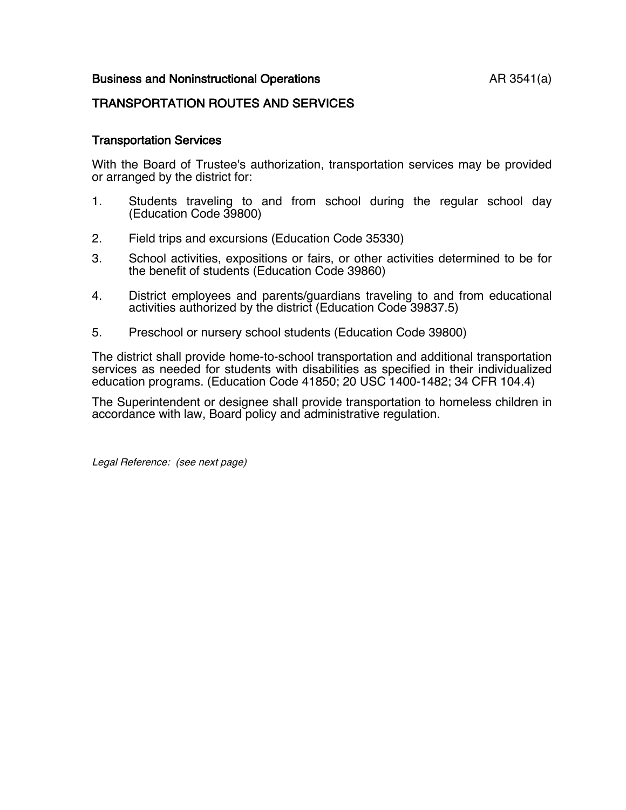## Business and Noninstructional Operations **AR 3541(a)**

## TRANSPORTATION ROUTES AND SERVICES

## Transportation Services

With the Board of Trustee's authorization, transportation services may be provided or arranged by the district for:

- 1. Students traveling to and from school during the regular school day (Education Code 39800)
- 2. Field trips and excursions (Education Code 35330)
- 3. School activities, expositions or fairs, or other activities determined to be for the benefit of students (Education Code 39860)
- 4. District employees and parents/guardians traveling to and from educational activities authorized by the district (Education Code 39837.5)
- 5. Preschool or nursery school students (Education Code 39800)

The district shall provide home-to-school transportation and additional transportation services as needed for students with disabilities as specified in their individualized education programs. (Education Code 41850; 20 USC 1400-1482; 34 CFR 104.4)

The Superintendent or designee shall provide transportation to homeless children in accordance with law, Board policy and administrative regulation.

Legal Reference: (see next page)